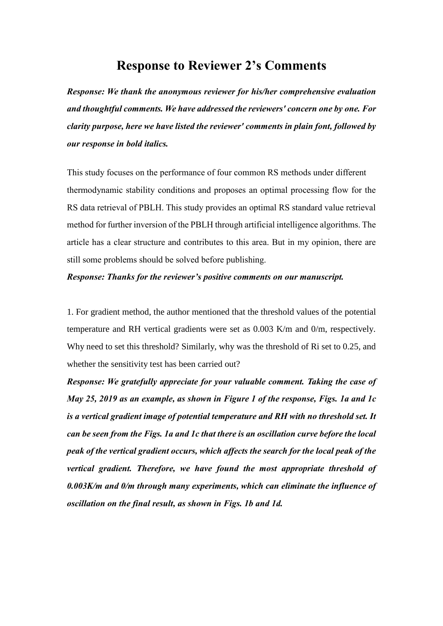## **Response to Reviewer 2's Comments**

*Response: We thank the anonymous reviewer for his/her comprehensive evaluation and thoughtful comments. We have addressed the reviewers' concern one by one. For clarity purpose, here we have listed the reviewer' comments in plain font, followed by our response in bold italics.*

This study focuses on the performance of four common RS methods under different thermodynamic stability conditions and proposes an optimal processing flow for the RS data retrieval of PBLH. This study provides an optimal RS standard value retrieval method for further inversion of the PBLH through artificial intelligence algorithms. The article has a clear structure and contributes to this area. But in my opinion, there are still some problems should be solved before publishing.

## *Response: Thanks for the reviewer's positive comments on our manuscript.*

1. For gradient method, the author mentioned that the threshold values of the potential temperature and RH vertical gradients were set as 0.003 K/m and 0/m, respectively. Why need to set this threshold? Similarly, why was the threshold of Ri set to 0.25, and whether the sensitivity test has been carried out?

*Response: We gratefully appreciate for your valuable comment. Taking the case of May 25, 2019 as an example, as shown in Figure 1 of the response, Figs. 1a and 1c is a vertical gradient image of potential temperature and RH with no threshold set. It can be seen from the Figs. 1a and 1c that there is an oscillation curve before the local peak of the vertical gradient occurs, which affects the search for the local peak of the vertical gradient. Therefore, we have found the most appropriate threshold of 0.003K/m and 0/m through many experiments, which can eliminate the influence of oscillation on the final result, as shown in Figs. 1b and 1d.*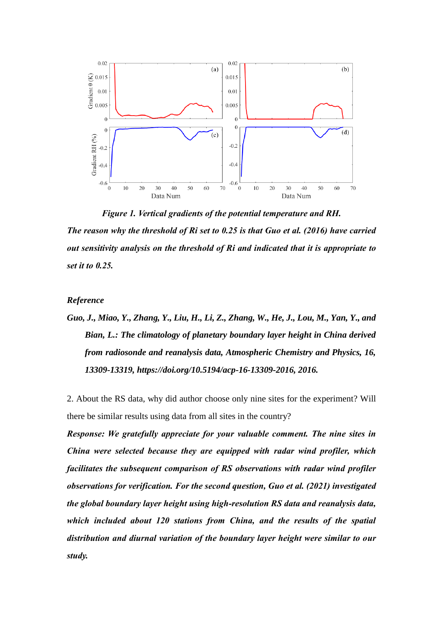

*Figure 1. Vertical gradients of the potential temperature and RH. The reason why the threshold of Ri set to 0.25 is that Guo et al. (2016) have carried out sensitivity analysis on the threshold of Ri and indicated that it is appropriate to set it to 0.25.*

## *Reference*

*Guo, J., Miao, Y., Zhang, Y., Liu, H., Li, Z., Zhang, W., He, J., Lou, M., Yan, Y., and Bian, L.: The climatology of planetary boundary layer height in China derived from radiosonde and reanalysis data, Atmospheric Chemistry and Physics, 16, 13309-13319, https://doi.org/10.5194/acp-16-13309-2016, 2016.*

2. About the RS data, why did author choose only nine sites for the experiment? Will there be similar results using data from all sites in the country?

*Response: We gratefully appreciate for your valuable comment. The nine sites in China were selected because they are equipped with radar wind profiler, which facilitates the subsequent comparison of RS observations with radar wind profiler observations for verification. For the second question, Guo et al. (2021) investigated the global boundary layer height using high-resolution RS data and reanalysis data, which included about 120 stations from China, and the results of the spatial distribution and diurnal variation of the boundary layer height were similar to our study.*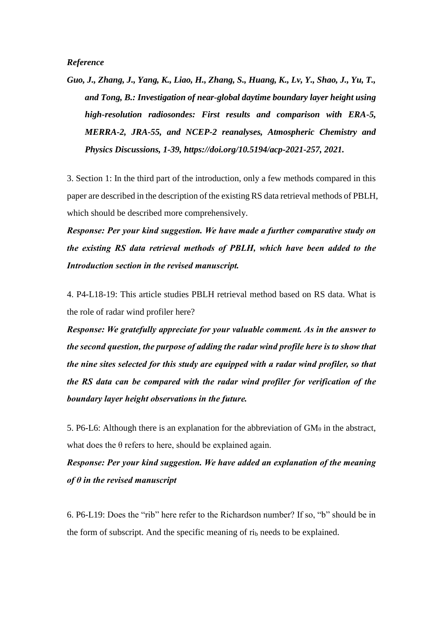*Guo, J., Zhang, J., Yang, K., Liao, H., Zhang, S., Huang, K., Lv, Y., Shao, J., Yu, T., and Tong, B.: Investigation of near-global daytime boundary layer height using high-resolution radiosondes: First results and comparison with ERA-5, MERRA-2, JRA-55, and NCEP-2 reanalyses, Atmospheric Chemistry and Physics Discussions, 1-39, https://doi.org/10.5194/acp-2021-257, 2021.*

3. Section 1: In the third part of the introduction, only a few methods compared in this paper are described in the description of the existing RS data retrieval methods of PBLH, which should be described more comprehensively.

*Response: Per your kind suggestion. We have made a further comparative study on the existing RS data retrieval methods of PBLH, which have been added to the Introduction section in the revised manuscript.*

4. P4-L18-19: This article studies PBLH retrieval method based on RS data. What is the role of radar wind profiler here?

*Response: We gratefully appreciate for your valuable comment. As in the answer to the second question, the purpose of adding the radar wind profile here is to show that the nine sites selected for this study are equipped with a radar wind profiler, so that the RS data can be compared with the radar wind profiler for verification of the boundary layer height observations in the future.*

5. P6-L6: Although there is an explanation for the abbreviation of  $GM_\theta$  in the abstract, what does the  $\theta$  refers to here, should be explained again.

*Response: Per your kind suggestion. We have added an explanation of the meaning of θ in the revised manuscript*

6. P6-L19: Does the "rib" here refer to the Richardson number? If so, "b" should be in the form of subscript. And the specific meaning of  $ri<sub>b</sub>$  needs to be explained.